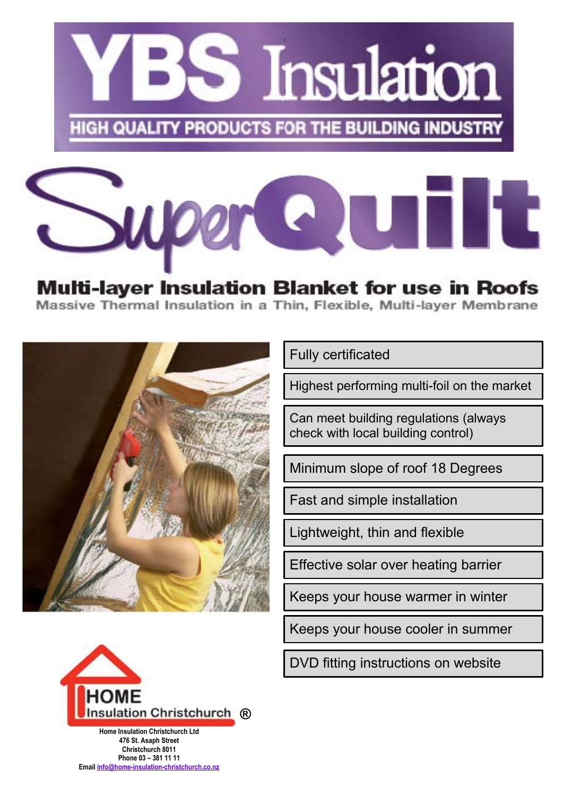



**Multi-layer Insulation Blanket for use in Roofs** Massive Thermal Insulation in a Thin, Flexible, Multi-layer Membrane



Fully certificated

Highest performing multi-foil on the market

Can meet building regulations (always check with local building control)

Minimum slope of roof 18 Degrees

Fast and simple installation

Lightweight, thin and flexible

Effective solar over heating barrier

Keeps your house warmer in winter

Keeps your house cooler in summer



**Home Insulation Christchurch Ltd 476 St. Asaph Street Christchurch 8011 Phone 03 – 381 11 11 Email info@home-insulation-christchurch.co.nz** DVD fitting instructions on website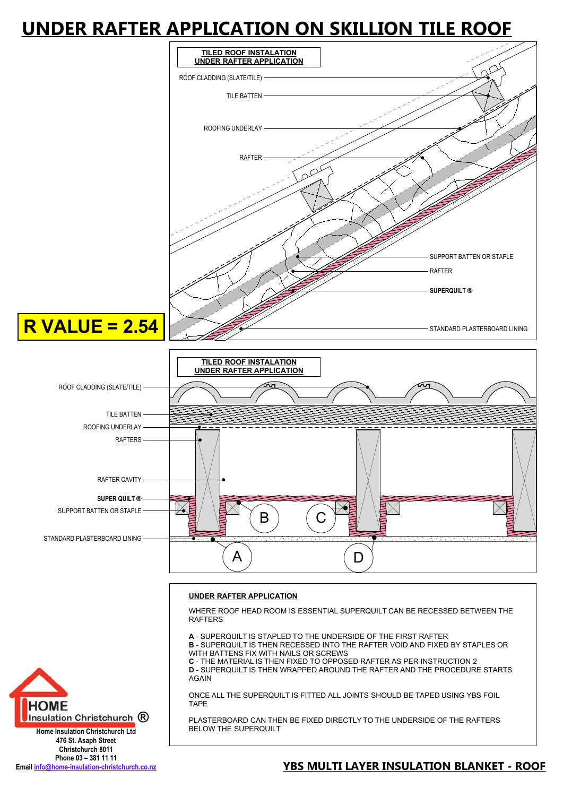### **UNDER RAFTER APPLICATION ON SKILLION TILE ROOF**



#### **UNDER RAFTER APPLICATION**

WHERE ROOF HEAD ROOM IS ESSENTIAL SUPERQUILT CAN BE RECESSED BETWEEN THE RAFTERS

**A** - SUPERQUILT IS STAPLED TO THE UNDERSIDE OF THE FIRST RAFTER **B** - SUPERQUILT IS THEN RECESSED INTO THE RAFTER VOID AND FIXED BY STAPLES OR WITH BATTENS FIX WITH NAILS OR SCREWS **C** - THE MATERIAL IS THEN FIXED TO OPPOSED RAFTER AS PER INSTRUCTION 2

**D** - SUPERQUILT IS THEN WRAPPED AROUND THE RAFTER AND THE PROCEDURE STARTS AGAIN

ONCE ALL THE SUPERQUILT IS FITTED ALL JOINTS SHOULD BE TAPED USING YBS FOIL TAPE

PLASTERBOARD CAN THEN BE FIXED DIRECTLY TO THE UNDERSIDE OF THE RAFTERS BELOW THE SUPERQUILT



**Home Insulation Christchurch Ltd 476 St. Asaph Street Christchurch 8011 Phone 03 – 381 11 11**

#### **Email info@home-insulation-christchurch.co.nz YBS MULTI LAYER INSULATION BLANKET - ROOF**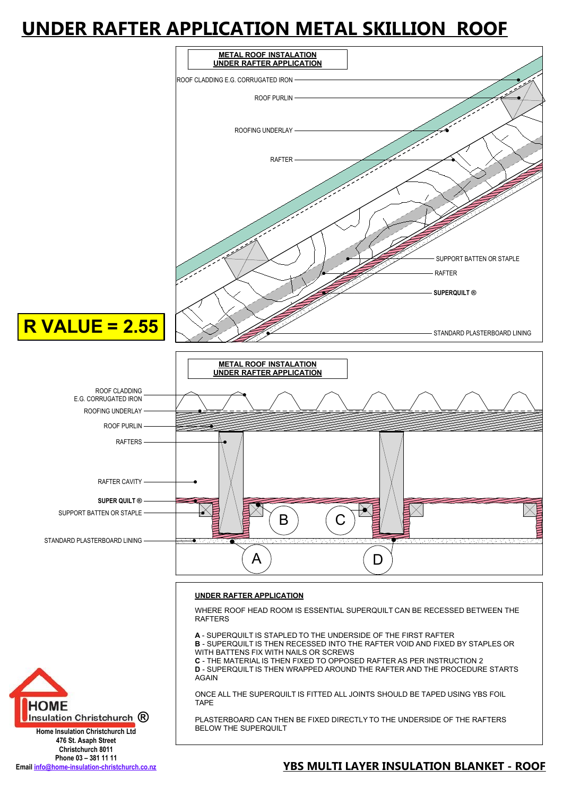## **UNDER RAFTER APPLICATION METAL SKILLION ROOF**



PLASTERBOARD CAN THEN BE FIXED DIRECTLY TO THE UNDERSIDE OF THE RAFTERS BELOW THE SUPERQUILT

#### **Home Insulation Christchurch Ltd 476 St. Asaph Street Christchurch 8011 Phone 03 – 381 11 11**

**Insulation Christchurch (R)** 

#### **Email info@home-insulation-christchurch.co.nz YBS MULTI LAYER INSULATION BLANKET - ROOF**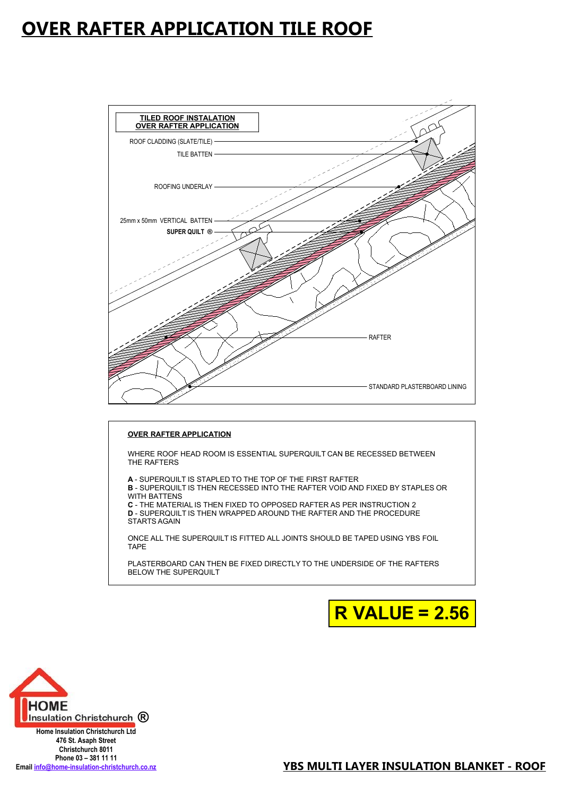### **OVER RAFTER APPLICATION TILE ROOF**



#### **OVER RAFTER APPLICATION**

WHERE ROOF HEAD ROOM IS ESSENTIAL SUPERQUILT CAN BE RECESSED BETWEEN THE RAFTERS

**A** - SUPERQUILT IS STAPLED TO THE TOP OF THE FIRST RAFTER

**B** - SUPERQUILT IS THEN RECESSED INTO THE RAFTER VOID AND FIXED BY STAPLES OR WITH BATTENS

**C** - THE MATERIAL IS THEN FIXED TO OPPOSED RAFTER AS PER INSTRUCTION 2 **D** - SUPERQUILT IS THEN WRAPPED AROUND THE RAFTER AND THE PROCEDURE STARTS AGAIN

ONCE ALL THE SUPERQUILT IS FITTED ALL JOINTS SHOULD BE TAPED USING YBS FOIL TAPE

PLASTERBOARD CAN THEN BE FIXED DIRECTLY TO THE UNDERSIDE OF THE RAFTERS BELOW THE SUPERQUILT





**Home Insulation Christchurch Ltd 476 St. Asaph Street Christchurch 8011 Phone 03 – 381 11 11**<br>Email **info@home-insulation-christchurch.co.nz**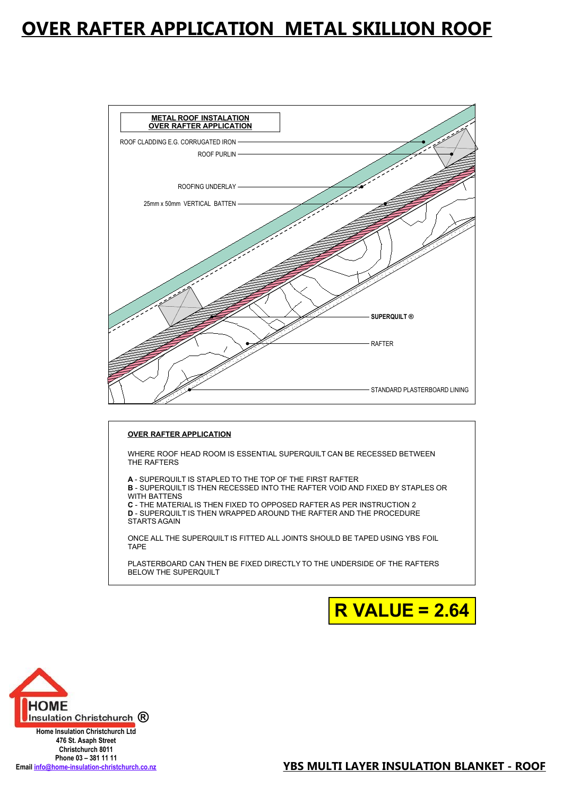### **OVER RAFTER APPLICATION METAL SKILLION ROOF**



#### **OVER RAFTER APPLICATION**

WHERE ROOF HEAD ROOM IS ESSENTIAL SUPERQUILT CAN BE RECESSED BETWEEN THE RAFTERS

**A** - SUPERQUILT IS STAPLED TO THE TOP OF THE FIRST RAFTER

**B** - SUPERQUILT IS THEN RECESSED INTO THE RAFTER VOID AND FIXED BY STAPLES OR WITH BATTENS

**C** - THE MATERIAL IS THEN FIXED TO OPPOSED RAFTER AS PER INSTRUCTION 2 **D** - SUPERQUILT IS THEN WRAPPED AROUND THE RAFTER AND THE PROCEDURE STARTS AGAIN

ONCE ALL THE SUPERQUILT IS FITTED ALL JOINTS SHOULD BE TAPED USING YBS FOIL TAPE

PLASTERBOARD CAN THEN BE FIXED DIRECTLY TO THE UNDERSIDE OF THE RAFTERS BELOW THE SUPERQUILT





**Home Insulation Christchurch Ltd 476 St. Asaph Street Christchurch 8011 Phone 03 – 381 11 11**<br>Email **info@home-insulation-christchurch.co.nz**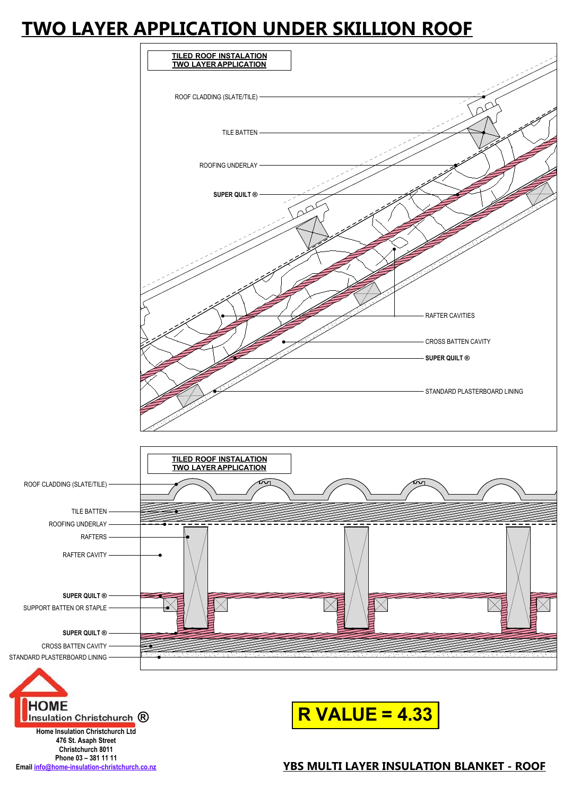### **TWO LAYER APPLICATION UNDER SKILLION ROOF**



**Phone 03 – 381 11 11**<br>Email **info@home-insulation-christchurch.co.nz** 

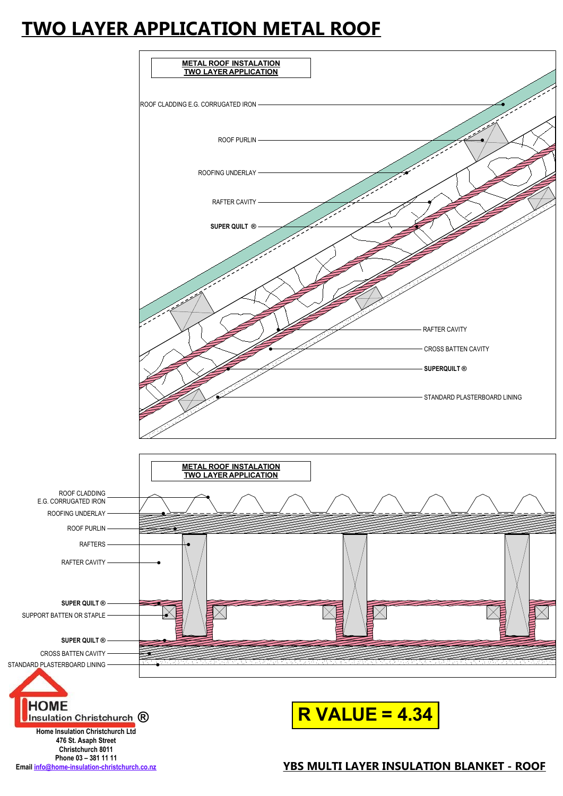### **TWO LAYER APPLICATION METAL ROOF**

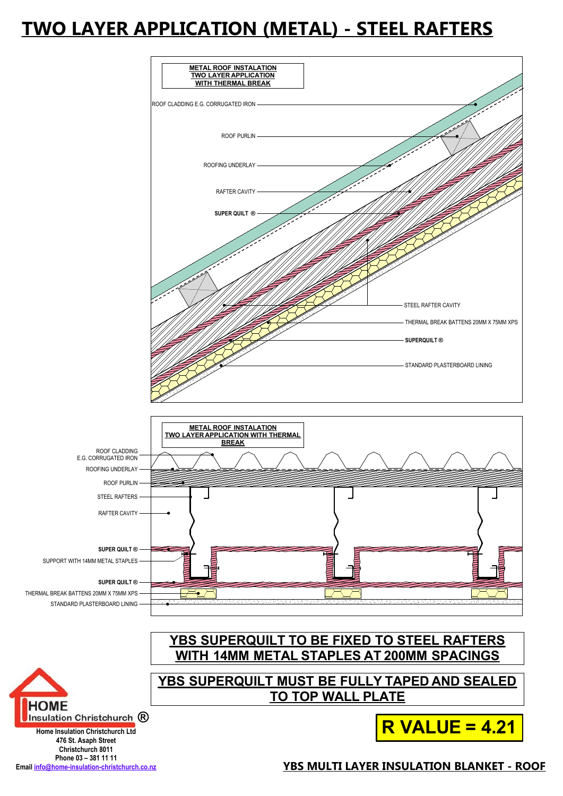## **TWO LAYER APPLICATION (METAL) - STEEL RAFTERS**

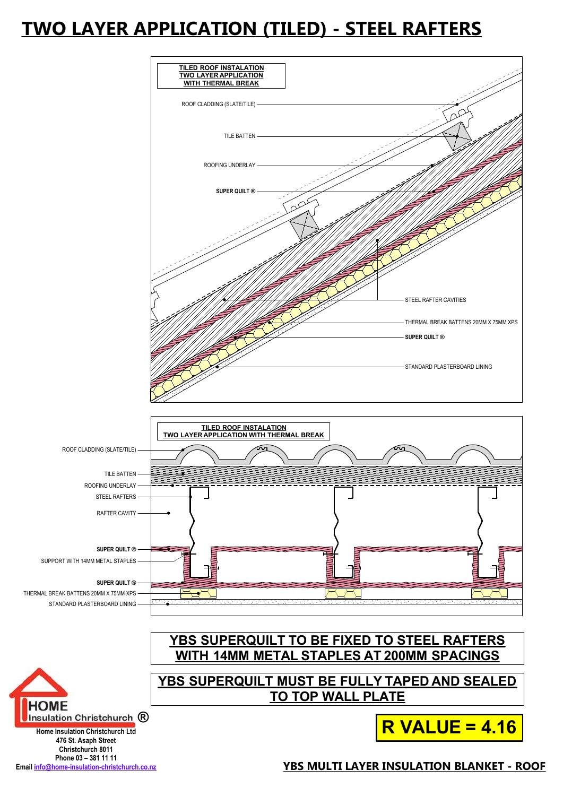# **TWO LAYER APPLICATION (TILED) - STEEL RAFTERS**

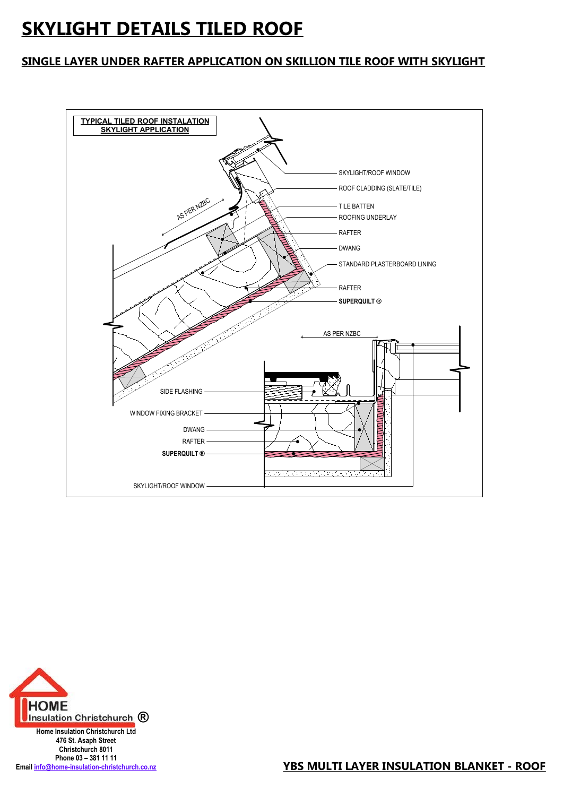## **SKYLIGHT DETAILS TILED ROOF**

#### **SINGLE LAYER UNDER RAFTER APPLICATION ON SKILLION TILE ROOF WITH SKYLIGHT**





**476 St. Asaph Street Christchurch 8011 Phone 03 – 381 11 11**

**Email info@home-insulation-christchurch.co.nz YBS MULTI LAYER INSULATION BLANKET - ROOF**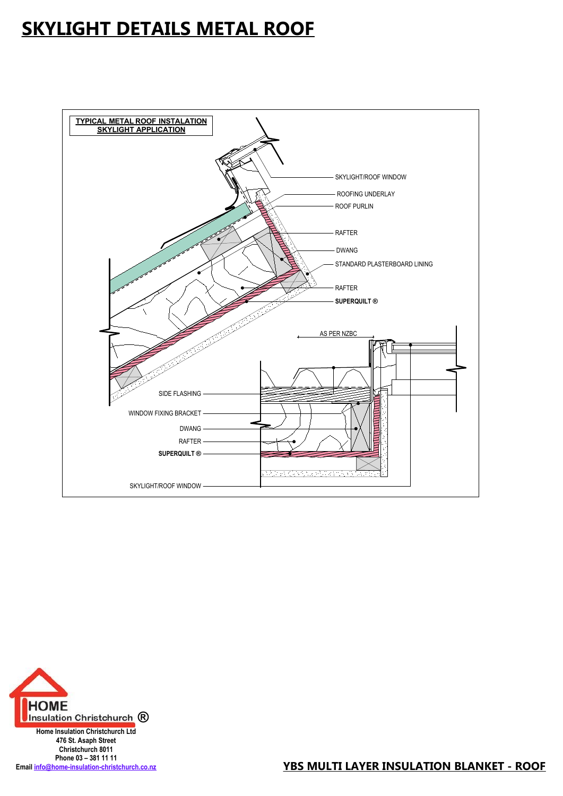## **SKYLIGHT DETAILS METAL ROOF**





**476 St. Asaph Street Christchurch 8011 Phone 03 – 381 11 11**

Email info@home-insulation-christchurch.co.nz<br> **YBS MULTI LAYER INSULATION BLANKET - ROOF**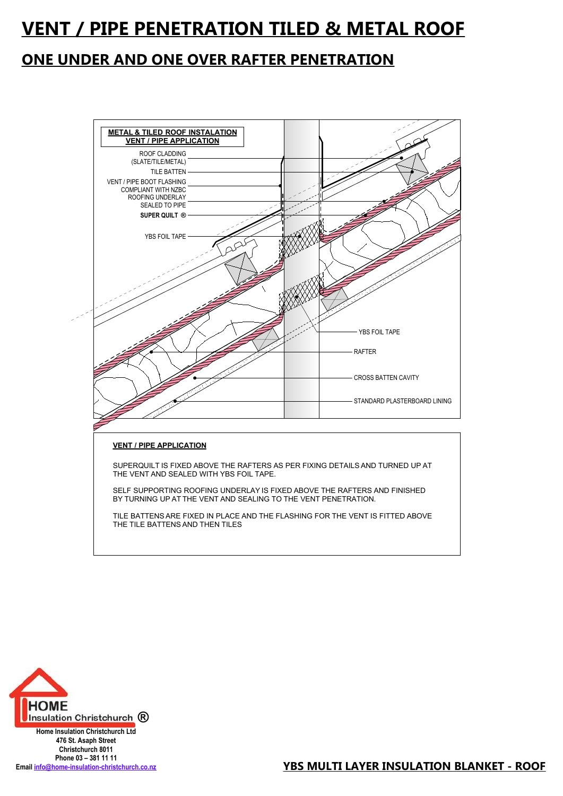### **VENT / PIPE PENETRATION TILED & METAL ROOF**

#### **ONE UNDER AND ONE OVER RAFTER PENETRATION**





**476 St. Asaph Street Christchurch 8011 Phone 03 – 381 11 11**<br>Email **info@home-insulation-christchurch.co.nz**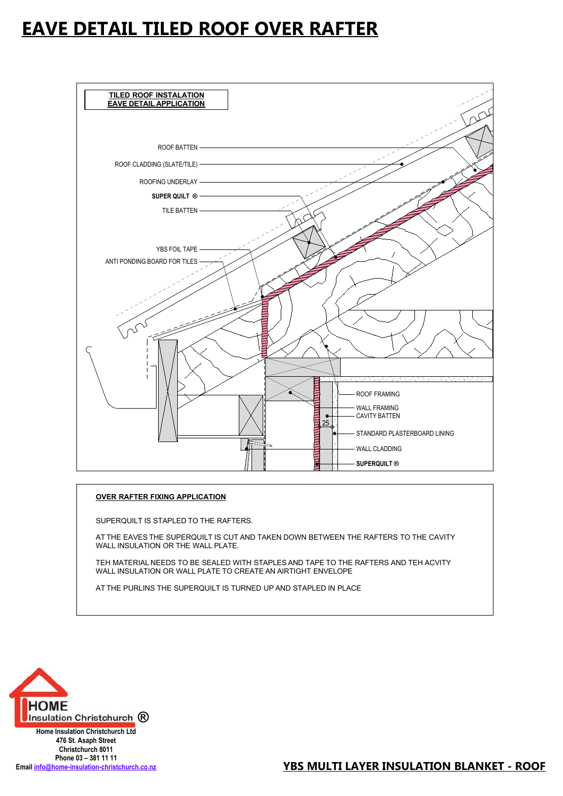#### **EAVE DETAIL TILED ROOF OVER RAFTER**



#### **OVER RAFTER FIXING APPLICATION**

SUPERQUILT IS STAPLED TO THE RAFTERS.

AT THE EAVES THE SUPERQUILT IS CUT AND TAKEN DOWN BETWEEN THE RAFTERS TO THE CAVITY WALL INSULATION OR THE WALL PLATE.

TEH MATERIAL NEEDS TO BE SEALED WITH STAPLES AND TAPE TO THE RAFTERS AND TEH ACVITY WALL INSULATION OR WALL PLATE TO CREATE AN AIRTIGHT ENVELOPE

AT THE PURLINS THE SUPERQUILT IS TURNED UP AND STAPLED IN PLACE.



**476 St. Asaph Street Christchurch 8011 Phone 03 – 381 11 11**<br>Email **info@home-insulation-christchurch.co.nz**